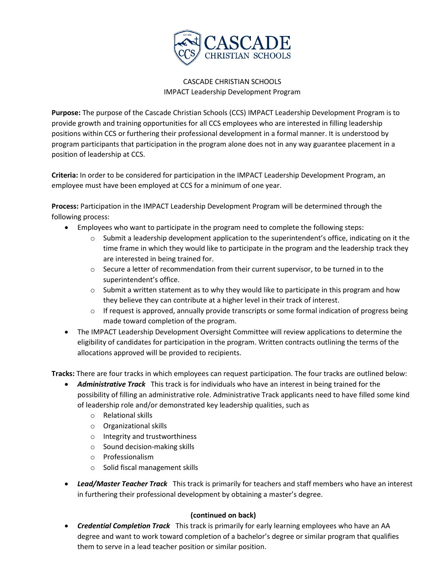

## CASCADE CHRISTIAN SCHOOLS IMPACT Leadership Development Program

**Purpose:** The purpose of the Cascade Christian Schools (CCS) IMPACT Leadership Development Program is to provide growth and training opportunities for all CCS employees who are interested in filling leadership positions within CCS or furthering their professional development in a formal manner. It is understood by program participants that participation in the program alone does not in any way guarantee placement in a position of leadership at CCS.

**Criteria:** In order to be considered for participation in the IMPACT Leadership Development Program, an employee must have been employed at CCS for a minimum of one year.

**Process:** Participation in the IMPACT Leadership Development Program will be determined through the following process:

- Employees who want to participate in the program need to complete the following steps:
	- $\circ$  Submit a leadership development application to the superintendent's office, indicating on it the time frame in which they would like to participate in the program and the leadership track they are interested in being trained for.
	- $\circ$  Secure a letter of recommendation from their current supervisor, to be turned in to the superintendent's office.
	- $\circ$  Submit a written statement as to why they would like to participate in this program and how they believe they can contribute at a higher level in their track of interest.
	- $\circ$  If request is approved, annually provide transcripts or some formal indication of progress being made toward completion of the program.
- The IMPACT Leadership Development Oversight Committee will review applications to determine the eligibility of candidates for participation in the program. Written contracts outlining the terms of the allocations approved will be provided to recipients.

**Tracks:** There are four tracks in which employees can request participation. The four tracks are outlined below:

- *Administrative Track* This track is for individuals who have an interest in being trained for the possibility of filling an administrative role. Administrative Track applicants need to have filled some kind of leadership role and/or demonstrated key leadership qualities, such as
	- o Relational skills
	- o Organizational skills
	- o Integrity and trustworthiness
	- o Sound decision-making skills
	- o Professionalism
	- o Solid fiscal management skills
- *Lead/Master Teacher Track* This track is primarily for teachers and staff members who have an interest in furthering their professional development by obtaining a master's degree.

## **(continued on back)**

• *Credential Completion Track* This track is primarily for early learning employees who have an AA degree and want to work toward completion of a bachelor's degree or similar program that qualifies them to serve in a lead teacher position or similar position.